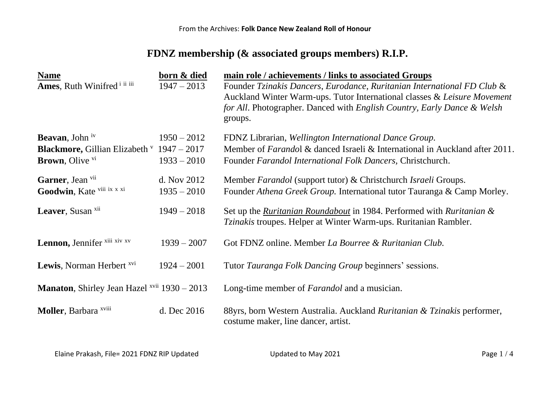## **FDNZ membership (& associated groups members) R.I.P.**

| <b>Name</b><br>Ames, Ruth Winifred <sup>i ii iii</sup>                                                    | born & died<br>$1947 - 2013$   | main role / achievements / links to associated Groups<br>Founder Tzinakis Dancers, Eurodance, Ruritanian International FD Club &<br>Auckland Winter Warm-ups. Tutor International classes & Leisure Movement<br>for All. Photographer. Danced with English Country, Early Dance & Welsh<br>groups. |
|-----------------------------------------------------------------------------------------------------------|--------------------------------|----------------------------------------------------------------------------------------------------------------------------------------------------------------------------------------------------------------------------------------------------------------------------------------------------|
| <b>Beavan</b> , John iv<br><b>Blackmore, Gillian Elizabeth</b> v $1947 - 2017$<br><b>Brown</b> , Olive vi | $1950 - 2012$<br>$1933 - 2010$ | FDNZ Librarian, Wellington International Dance Group.<br>Member of <i>Farandol &amp;</i> danced Israeli & International in Auckland after 2011.<br>Founder Farandol International Folk Dancers, Christchurch.                                                                                      |
| Garner, Jean vii<br>Goodwin, Kate viii ix x xi                                                            | d. Nov 2012<br>$1935 - 2010$   | Member <i>Farandol</i> (support tutor) & Christchurch <i>Israeli</i> Groups.<br>Founder Athena Greek Group. International tutor Tauranga & Camp Morley.                                                                                                                                            |
| Leaver, Susan xii                                                                                         | $1949 - 2018$                  | Set up the <i>Ruritanian Roundabout</i> in 1984. Performed with <i>Ruritanian &amp;</i><br><i>Tzinakis</i> troupes. Helper at Winter Warm-ups. Ruritanian Rambler.                                                                                                                                 |
| Lennon, Jennifer xiii xiv xv                                                                              | $1939 - 2007$                  | Got FDNZ online. Member La Bourree & Ruritanian Club.                                                                                                                                                                                                                                              |
| <b>Lewis</b> , Norman Herbert <sup>xvi</sup>                                                              | $1924 - 2001$                  | Tutor Tauranga Folk Dancing Group beginners' sessions.                                                                                                                                                                                                                                             |
| Manaton, Shirley Jean Hazel xvii 1930 - 2013                                                              |                                | Long-time member of <i>Farandol</i> and a musician.                                                                                                                                                                                                                                                |
| Moller, Barbara xviii                                                                                     | d. Dec 2016                    | 88yrs, born Western Australia. Auckland Ruritanian & Tzinakis performer,<br>costume maker, line dancer, artist.                                                                                                                                                                                    |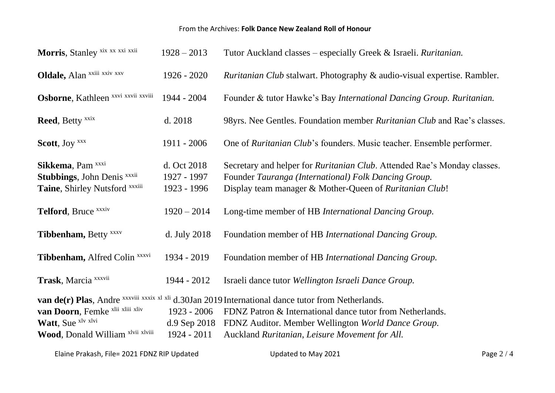## From the Archives: **Folk Dance New Zealand Roll of Honour**

| Morris, Stanley xix xx xxi xxii                                                                       | $1928 - 2013$                              | Tutor Auckland classes – especially Greek & Israeli. Ruritanian.                                                                                                                                                                                                         |
|-------------------------------------------------------------------------------------------------------|--------------------------------------------|--------------------------------------------------------------------------------------------------------------------------------------------------------------------------------------------------------------------------------------------------------------------------|
| Oldale, Alan xxiii xxiv xxv                                                                           | $1926 - 2020$                              | <i>Ruritanian Club</i> stalwart. Photography & audio-visual expertise. Rambler.                                                                                                                                                                                          |
| Osborne, Kathleen xxvi xxvii xxviii                                                                   | 1944 - 2004                                | Founder & tutor Hawke's Bay International Dancing Group. Ruritanian.                                                                                                                                                                                                     |
| Reed, Betty xxix                                                                                      | d. 2018                                    | 98yrs. Nee Gentles. Foundation member <i>Ruritanian Club</i> and Rae's classes.                                                                                                                                                                                          |
| Scott, Joy xxx                                                                                        | 1911 - 2006                                | One of Ruritanian Club's founders. Music teacher. Ensemble performer.                                                                                                                                                                                                    |
| Sikkema, Pam <sup>xxxi</sup><br><b>Stubbings</b> , John Denis xxxii<br>Taine, Shirley Nutsford xxxiii | d. Oct 2018<br>1927 - 1997<br>1923 - 1996  | Secretary and helper for <i>Ruritanian Club</i> . Attended Rae's Monday classes.<br>Founder Tauranga (International) Folk Dancing Group.<br>Display team manager & Mother-Queen of Ruritanian Club!                                                                      |
| Telford, Bruce xxxiv                                                                                  | $1920 - 2014$                              | Long-time member of HB International Dancing Group.                                                                                                                                                                                                                      |
| Tibbenham, Betty xxxv                                                                                 | d. July 2018                               | Foundation member of HB International Dancing Group.                                                                                                                                                                                                                     |
| Tibbenham, Alfred Colin xxxvi                                                                         | 1934 - 2019                                | Foundation member of HB International Dancing Group.                                                                                                                                                                                                                     |
| Trask, Marcia xxxvii                                                                                  | 1944 - 2012                                | Israeli dance tutor Wellington Israeli Dance Group.                                                                                                                                                                                                                      |
| van Doorn, Femke xlii xlii xliv<br>Watt, Sue xlv xlvi<br>Wood, Donald William xlvii xlviii            | 1923 - 2006<br>d.9 Sep 2018<br>1924 - 2011 | van de(r) Plas, Andre xxxviii xxxix xl xli d.30Jan 2019 International dance tutor from Netherlands.<br>FDNZ Patron & International dance tutor from Netherlands.<br>FDNZ Auditor. Member Wellington World Dance Group.<br>Auckland Ruritanian, Leisure Movement for All. |

Elaine Prakash, File= 2021 FDNZ RIP Updated Unit Control Updated to May 2021 Page 2 / 4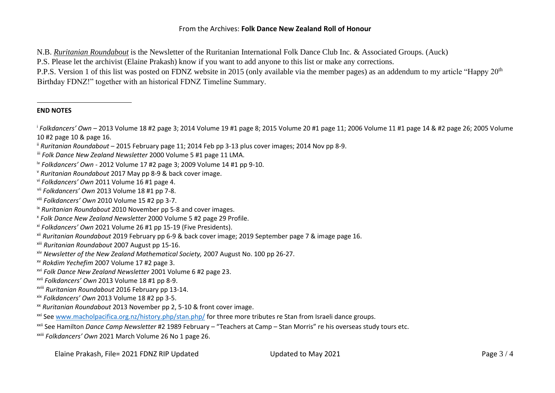## From the Archives: **Folk Dance New Zealand Roll of Honour**

N.B. *Ruritanian Roundabout* is the Newsletter of the Ruritanian International Folk Dance Club Inc. & Associated Groups. (Auck)

P.S. Please let the archivist (Elaine Prakash) know if you want to add anyone to this list or make any corrections.

P.P.S. Version 1 of this list was posted on FDNZ website in 2015 (only available via the member pages) as an addendum to my article "Happy 20<sup>th</sup> Birthday FDNZ!" together with an historical FDNZ Timeline Summary.

## **END NOTES**

- i *Folkdancers' Own* 2013 Volume 18 #2 page 3; 2014 Volume 19 #1 page 8; 2015 Volume 20 #1 page 11; 2006 Volume 11 #1 page 14 & #2 page 26; 2005 Volume 10 #2 page 10 & page 16.
- ii *Ruritanian Roundabout* 2015 February page 11; 2014 Feb pp 3-13 plus cover images; 2014 Nov pp 8-9.

- iv *Folkdancers' Own* 2012 Volume 17 #2 page 3; 2009 Volume 14 #1 pp 9-10.
- <sup>v</sup> *Ruritanian Roundabout* 2017 May pp 8-9 & back cover image.
- vi *Folkdancers' Own* 2011 Volume 16 #1 page 4.
- vii *Folkdancers' Own* 2013 Volume 18 #1 pp 7-8.
- viii *Folkdancers' Own* 2010 Volume 15 #2 pp 3-7.
- ix *Ruritanian Roundabout* 2010 November pp 5-8 and cover images.
- x *Folk Dance New Zealand Newsletter* 2000 Volume 5 #2 page 29 Profile.
- xi *Folkdancers' Own* 2021 Volume 26 #1 pp 15-19 (Five Presidents).
- xii *Ruritanian Roundabout* 2019 February pp 6-9 & back cover image; 2019 September page 7 & image page 16.
- xiii *Ruritanian Roundabout* 2007 August pp 15-16.
- xiv *Newsletter of the New Zealand Mathematical Society,* 2007 August No. 100 pp 26-27.
- xv *Rokdim Yechefim* 2007 Volume 17 #2 page 3.
- xvi *Folk Dance New Zealand Newsletter* 2001 Volume 6 #2 page 23.
- xvii *Folkdancers' Own* 2013 Volume 18 #1 pp 8-9.
- xviii *Ruritanian Roundabout* 2016 February pp 13-14.
- xix *Folkdancers' Own* 2013 Volume 18 #2 pp 3-5.
- xx *Ruritanian Roundabout* 2013 November pp 2, 5-10 & front cover image.
- xxi Se[e www.macholpacifica.org.nz/history.php/stan.php/](http://www.macholpacifica.org.nz/history.php/stan.php/) [f](http://www.macholpacifica.org.nz/history.php/stan.php/)or three more tributes re Stan from Israeli dance groups.
- xxii See Hamilton *Dance Camp Newsletter* #2 1989 February "Teachers at Camp Stan Morris" re his overseas study tours etc.
- xxiii *Folkdancers' Own* 2021 March Volume 26 No 1 page 26.

iii *Folk Dance New Zealand Newsletter* 2000 Volume 5 #1 page 11 LMA.